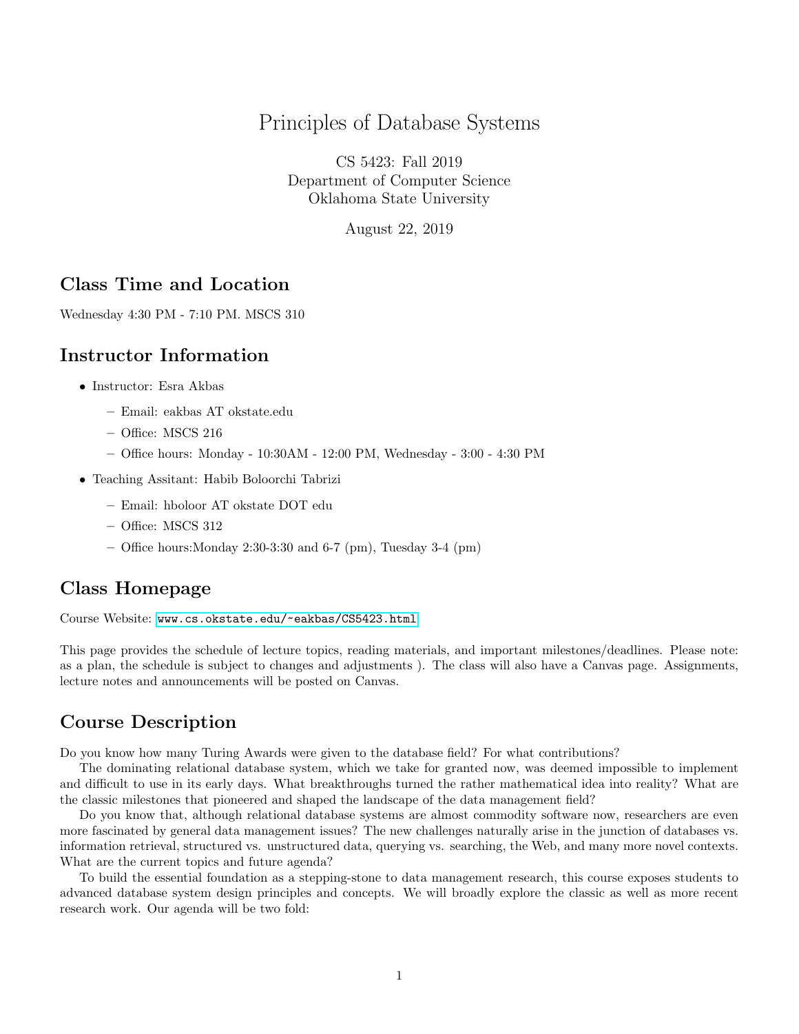### Principles of Database Systems

CS 5423: Fall 2019 Department of Computer Science Oklahoma State University

August 22, 2019

#### Class Time and Location

Wednesday 4:30 PM - 7:10 PM. MSCS 310

#### Instructor Information

- Instructor: Esra Akbas
	- Email: eakbas AT okstate.edu
	- Office: MSCS 216
	- Office hours: Monday 10:30AM 12:00 PM, Wednesday 3:00 4:30 PM
- Teaching Assitant: Habib Boloorchi Tabrizi
	- Email: hboloor AT okstate DOT edu
	- Office: MSCS 312
	- Office hours: Monday 2:30-3:30 and 6-7 (pm), Tuesday 3-4 (pm)

#### Class Homepage

Course Website: <www.cs.okstate.edu/~eakbas/CS5423.html>

This page provides the schedule of lecture topics, reading materials, and important milestones/deadlines. Please note: as a plan, the schedule is subject to changes and adjustments ). The class will also have a Canvas page. Assignments, lecture notes and announcements will be posted on Canvas.

#### Course Description

Do you know how many Turing Awards were given to the database field? For what contributions?

The dominating relational database system, which we take for granted now, was deemed impossible to implement and difficult to use in its early days. What breakthroughs turned the rather mathematical idea into reality? What are the classic milestones that pioneered and shaped the landscape of the data management field?

Do you know that, although relational database systems are almost commodity software now, researchers are even more fascinated by general data management issues? The new challenges naturally arise in the junction of databases vs. information retrieval, structured vs. unstructured data, querying vs. searching, the Web, and many more novel contexts. What are the current topics and future agenda?

To build the essential foundation as a stepping-stone to data management research, this course exposes students to advanced database system design principles and concepts. We will broadly explore the classic as well as more recent research work. Our agenda will be two fold: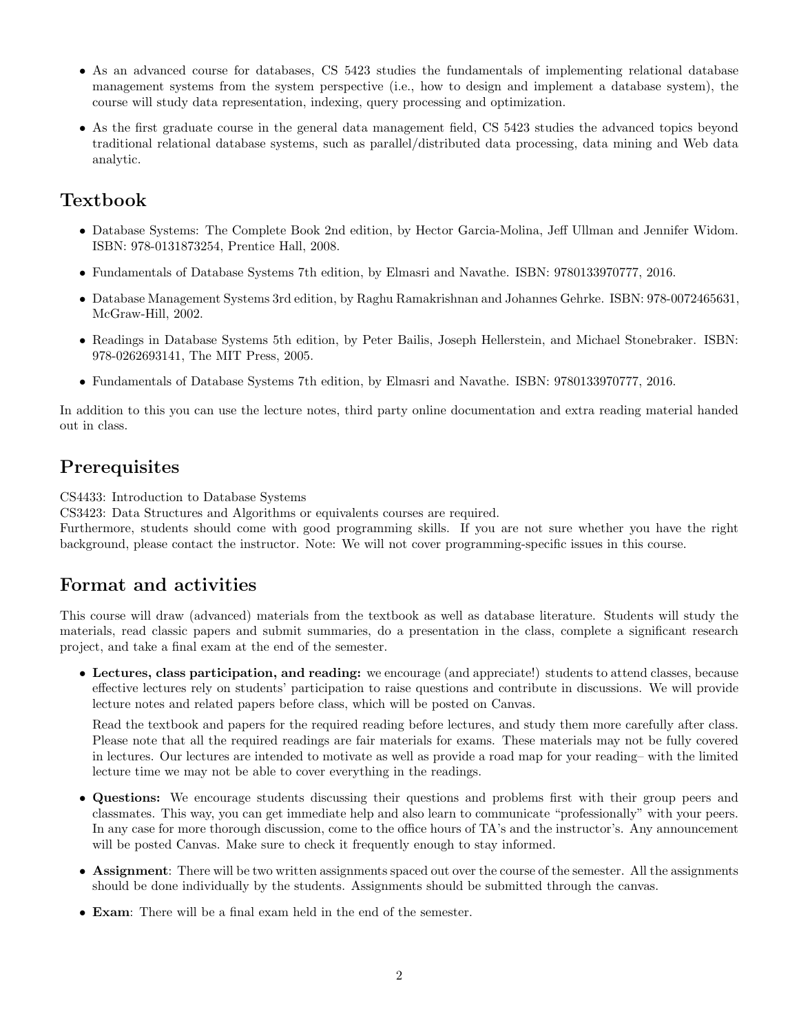- As an advanced course for databases, CS 5423 studies the fundamentals of implementing relational database management systems from the system perspective (i.e., how to design and implement a database system), the course will study data representation, indexing, query processing and optimization.
- As the first graduate course in the general data management field, CS 5423 studies the advanced topics beyond traditional relational database systems, such as parallel/distributed data processing, data mining and Web data analytic.

## Textbook

- Database Systems: The Complete Book 2nd edition, by Hector Garcia-Molina, Jeff Ullman and Jennifer Widom. ISBN: 978-0131873254, Prentice Hall, 2008.
- Fundamentals of Database Systems 7th edition, by Elmasri and Navathe. ISBN: 9780133970777, 2016.
- Database Management Systems 3rd edition, by Raghu Ramakrishnan and Johannes Gehrke. ISBN: 978-0072465631, McGraw-Hill, 2002.
- Readings in Database Systems 5th edition, by Peter Bailis, Joseph Hellerstein, and Michael Stonebraker. ISBN: 978-0262693141, The MIT Press, 2005.
- Fundamentals of Database Systems 7th edition, by Elmasri and Navathe. ISBN: 9780133970777, 2016.

In addition to this you can use the lecture notes, third party online documentation and extra reading material handed out in class.

### **Prerequisites**

CS4433: Introduction to Database Systems

CS3423: Data Structures and Algorithms or equivalents courses are required.

Furthermore, students should come with good programming skills. If you are not sure whether you have the right background, please contact the instructor. Note: We will not cover programming-specific issues in this course.

# Format and activities

This course will draw (advanced) materials from the textbook as well as database literature. Students will study the materials, read classic papers and submit summaries, do a presentation in the class, complete a significant research project, and take a final exam at the end of the semester.

• Lectures, class participation, and reading: we encourage (and appreciate!) students to attend classes, because effective lectures rely on students' participation to raise questions and contribute in discussions. We will provide lecture notes and related papers before class, which will be posted on Canvas.

Read the textbook and papers for the required reading before lectures, and study them more carefully after class. Please note that all the required readings are fair materials for exams. These materials may not be fully covered in lectures. Our lectures are intended to motivate as well as provide a road map for your reading– with the limited lecture time we may not be able to cover everything in the readings.

- Questions: We encourage students discussing their questions and problems first with their group peers and classmates. This way, you can get immediate help and also learn to communicate "professionally" with your peers. In any case for more thorough discussion, come to the office hours of TA's and the instructor's. Any announcement will be posted Canvas. Make sure to check it frequently enough to stay informed.
- Assignment: There will be two written assignments spaced out over the course of the semester. All the assignments should be done individually by the students. Assignments should be submitted through the canvas.
- Exam: There will be a final exam held in the end of the semester.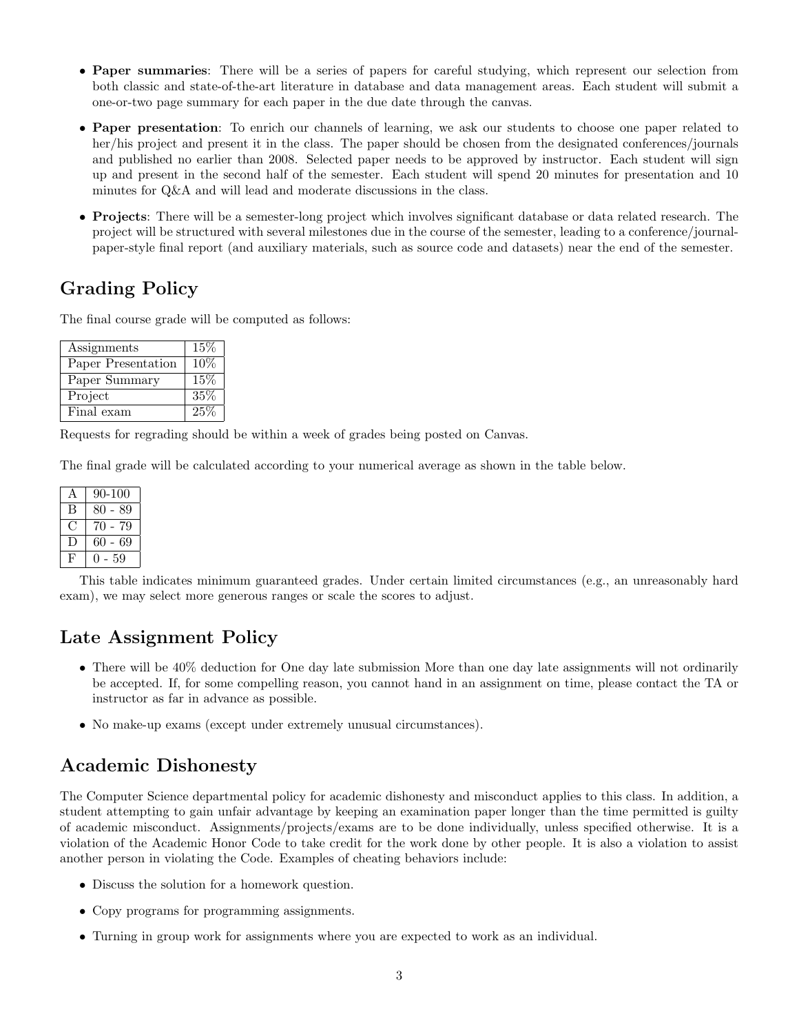- Paper summaries: There will be a series of papers for careful studying, which represent our selection from both classic and state-of-the-art literature in database and data management areas. Each student will submit a one-or-two page summary for each paper in the due date through the canvas.
- Paper presentation: To enrich our channels of learning, we ask our students to choose one paper related to her/his project and present it in the class. The paper should be chosen from the designated conferences/journals and published no earlier than 2008. Selected paper needs to be approved by instructor. Each student will sign up and present in the second half of the semester. Each student will spend 20 minutes for presentation and 10 minutes for Q&A and will lead and moderate discussions in the class.
- Projects: There will be a semester-long project which involves significant database or data related research. The project will be structured with several milestones due in the course of the semester, leading to a conference/journalpaper-style final report (and auxiliary materials, such as source code and datasets) near the end of the semester.

# Grading Policy

The final course grade will be computed as follows:

| Assignments        | 15%    |
|--------------------|--------|
| Paper Presentation | $10\%$ |
| Paper Summary      | 15%    |
| Project            | 35%    |
| Final exam         | $25\%$ |

Requests for regrading should be within a week of grades being posted on Canvas.

The final grade will be calculated according to your numerical average as shown in the table below.

|    | 90-100     |
|----|------------|
| В  | 80 - 89    |
|    | 70<br>- 79 |
| Ι. | 60<br>- 69 |
| H, | 59         |

This table indicates minimum guaranteed grades. Under certain limited circumstances (e.g., an unreasonably hard exam), we may select more generous ranges or scale the scores to adjust.

### Late Assignment Policy

- There will be 40% deduction for One day late submission More than one day late assignments will not ordinarily be accepted. If, for some compelling reason, you cannot hand in an assignment on time, please contact the TA or instructor as far in advance as possible.
- No make-up exams (except under extremely unusual circumstances).

### Academic Dishonesty

The Computer Science departmental policy for academic dishonesty and misconduct applies to this class. In addition, a student attempting to gain unfair advantage by keeping an examination paper longer than the time permitted is guilty of academic misconduct. Assignments/projects/exams are to be done individually, unless specified otherwise. It is a violation of the Academic Honor Code to take credit for the work done by other people. It is also a violation to assist another person in violating the Code. Examples of cheating behaviors include:

- Discuss the solution for a homework question.
- Copy programs for programming assignments.
- Turning in group work for assignments where you are expected to work as an individual.